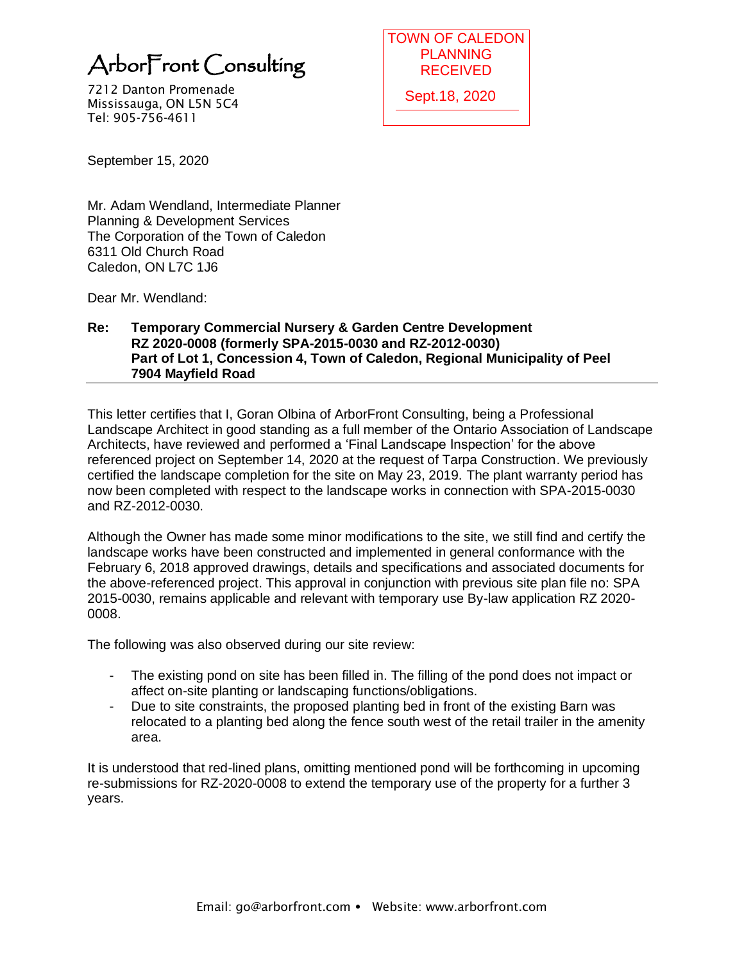7212 Danton Promenade Mississauga, ON L5N 5C4 Tel: 905-756-4611

PLANNING **RECEIVED** Sept.18, 2020

September 15, 2020

Mr. Adam Wendland, Intermediate Planner Planning & Development Services The Corporation of the Town of Caledon 6311 Old Church Road Caledon, ON L7C 1J6

Dear Mr. Wendland:

## **Re: Temporary Commercial Nursery & Garden Centre Development RZ 2020-0008 (formerly SPA-2015-0030 and RZ-2012-0030) Part of Lot 1, Concession 4, Town of Caledon, Regional Municipality of Peel 7904 Mayfield Road**

This letter certifies that I, Goran Olbina of ArborFront Consulting, being a Professional Landscape Architect in good standing as a full member of the Ontario Association of Landscape Architects, have reviewed and performed a 'Final Landscape Inspection' for the above referenced project on September 14, 2020 at the request of Tarpa Construction. We previously certified the landscape completion for the site on May 23, 2019. The plant warranty period has now been completed with respect to the landscape works in connection with SPA-2015-0030 and RZ-2012-0030. **Arbor Front Consulting**<br>
TOWN OF CALEDON<br>
TRISLISSANG, PROFINITED RECEIVED<br>
TRISLISSANG, ON USN SC4<br>
TRISLISSANG, ON USN SC4<br>
September 15, 2020<br>
Mr. Adam Wendland, Intermediate Planner<br>
The Corporation of the Town of Cal

Although the Owner has made some minor modifications to the site, we still find and certify the landscape works have been constructed and implemented in general conformance with the February 6, 2018 approved drawings, details and specifications and associated documents for the above-referenced project. This approval in conjunction with previous site plan file no: SPA 2015-0030, remains applicable and relevant with temporary use By-law application RZ 2020- 0008.

The following was also observed during our site review:

- The existing pond on site has been filled in. The filling of the pond does not impact or affect on-site planting or landscaping functions/obligations.
- Due to site constraints, the proposed planting bed in front of the existing Barn was relocated to a planting bed along the fence south west of the retail trailer in the amenity area.

It is understood that red-lined plans, omitting mentioned pond will be forthcoming in upcoming re-submissions for RZ-2020-0008 to extend the temporary use of the property for a further 3